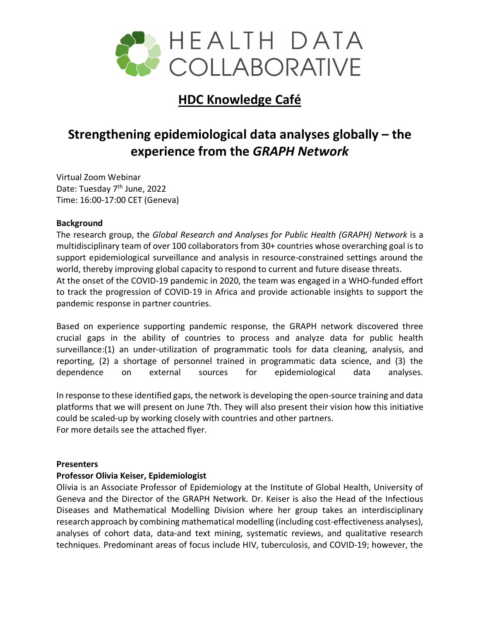

## **HDC Knowledge Café**

# **Strengthening epidemiological data analyses globally – the experience from the** *GRAPH Network*

Virtual Zoom Webinar Date: Tuesday 7<sup>th</sup> June, 2022 Time: 16:00-17:00 CET (Geneva)

#### **Background**

The research group, the *Global Research and Analyses for Public Health (GRAPH) Network* is a multidisciplinary team of over 100 collaborators from 30+ countries whose overarching goal is to support epidemiological surveillance and analysis in resource-constrained settings around the world, thereby improving global capacity to respond to current and future disease threats. At the onset of the COVID-19 pandemic in 2020, the team was engaged in a WHO-funded effort to track the progression of COVID-19 in Africa and provide actionable insights to support the pandemic response in partner countries.

Based on experience supporting pandemic response, the GRAPH network discovered three crucial gaps in the ability of countries to process and analyze data for public health surveillance:(1) an under-utilization of programmatic tools for data cleaning, analysis, and reporting, (2) a shortage of personnel trained in programmatic data science, and (3) the dependence on external sources for epidemiological data analyses.

In response to these identified gaps, the network is developing the open-source training and data platforms that we will present on June 7th. They will also present their vision how this initiative could be scaled-up by working closely with countries and other partners. For more details see the attached flyer.

#### **Presenters**

#### **Professor Olivia Keiser, Epidemiologist**

Olivia is an Associate Professor of Epidemiology at the Institute of Global Health, University of Geneva and the Director of the GRAPH Network. Dr. Keiser is also the Head of the Infectious Diseases and Mathematical Modelling Division where her group takes an interdisciplinary research approach by combining mathematical modelling (including cost-effectiveness analyses), analyses of cohort data, data-and text mining, systematic reviews, and qualitative research techniques. Predominant areas of focus include HIV, tuberculosis, and COVID-19; however, the